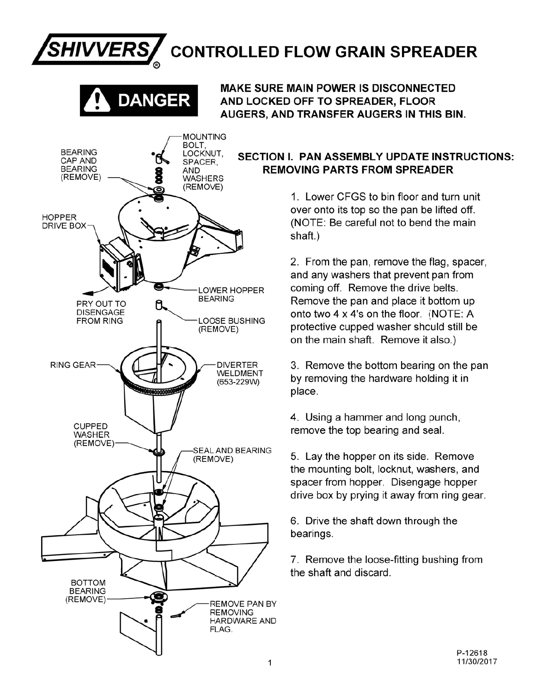# **CONTROLLED FLOW GRAIN SPREADER**



**MOUNTING** 

**SHIVVERS** 

**MAKE SURE MAIN POWER IS DISCONNECTED** AND LOCKED OFF TO SPREADER, FLOOR AUGERS, AND TRANSFER AUGERS IN THIS BIN.

## **SECTION I. PAN ASSEMBLY UPDATE INSTRUCTIONS: REMOVING PARTS FROM SPREADER**

1. Lower CFGS to bin floor and turn unit over onto its top so the pan be lifted off. (NOTE: Be careful not to bend the main shaft.)

2. From the pan, remove the flag, spacer, and any washers that prevent pan from coming off. Remove the drive belts. Remove the pan and place it bottom up onto two 4 x 4's on the floor. (NOTE: A protective cupped washer should still be on the main shaft. Remove it also.)

3. Remove the bottom bearing on the pan by removing the hardware holding it in place.

4. Using a hammer and long punch, remove the top bearing and seal.

5. Lay the hopper on its side. Remove the mounting bolt, locknut, washers, and spacer from hopper. Disengage hopper drive box by prying it away from ring gear.

6. Drive the shaft down through the bearings.

7. Remove the loose-fitting bushing from the shaft and discard.

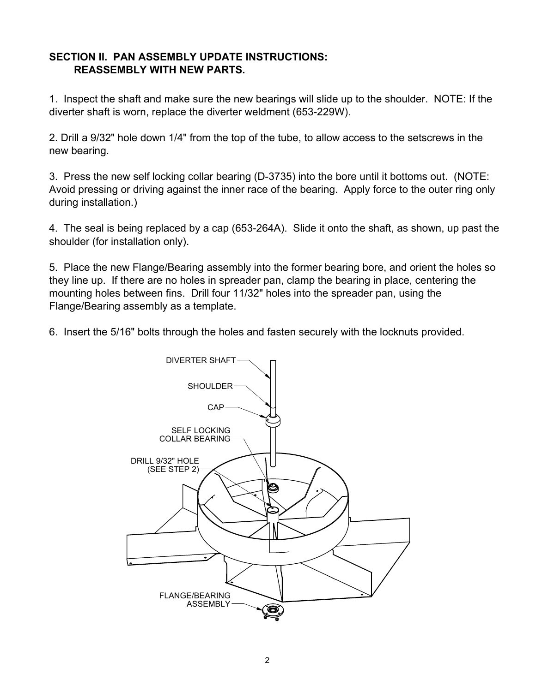### **SECTION II. PAN ASSEMBLY UPDATE INSTRUCTIONS: REASSEMBLY WITH NEW PARTS.**

1. Inspect the shaft and make sure the new bearings will slide up to the shoulder. NOTE: If the diverter shaft is worn, replace the diverter weldment (653-229W).

2. Drill a 9/32" hole down 1/4" from the top of the tube, to allow access to the setscrews in the new bearing.

3. Press the new self locking collar bearing (D-3735) into the bore until it bottoms out. (NOTE: Avoid pressing or driving against the inner race of the bearing. Apply force to the outer ring only during installation.)

4. The seal is being replaced by a cap (653-264A). Slide it onto the shaft, as shown, up past the shoulder (for installation only).

5. Place the new Flange/Bearing assembly into the former bearing bore, and orient the holes so they line up. If there are no holes in spreader pan, clamp the bearing in place, centering the mounting holes between fins. Drill four 11/32" holes into the spreader pan, using the Flange/Bearing assembly as a template.

6. Insert the 5/16" bolts through the holes and fasten securely with the locknuts provided.

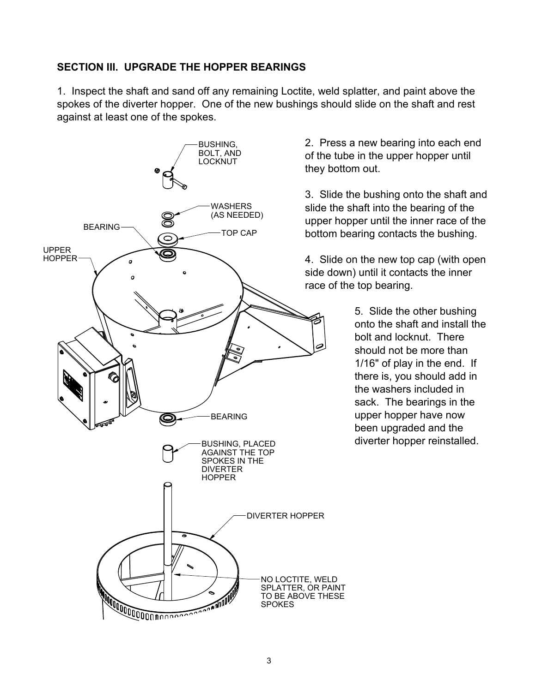## **SECTION III. UPGRADE THE HOPPER BEARINGS**

1. Inspect the shaft and sand off any remaining Loctite, weld splatter, and paint above the spokes of the diverter hopper. One of the new bushings should slide on the shaft and rest against at least one of the spokes.



2. Press a new bearing into each end of the tube in the upper hopper until they bottom out.

3. Slide the bushing onto the shaft and slide the shaft into the bearing of the upper hopper until the inner race of the bottom bearing contacts the bushing.

4. Slide on the new top cap (with open side down) until it contacts the inner race of the top bearing.

> 5. Slide the other bushing onto the shaft and install the bolt and locknut. There should not be more than 1/16" of play in the end. If there is, you should add in the washers included in sack. The bearings in the upper hopper have now been upgraded and the diverter hopper reinstalled.